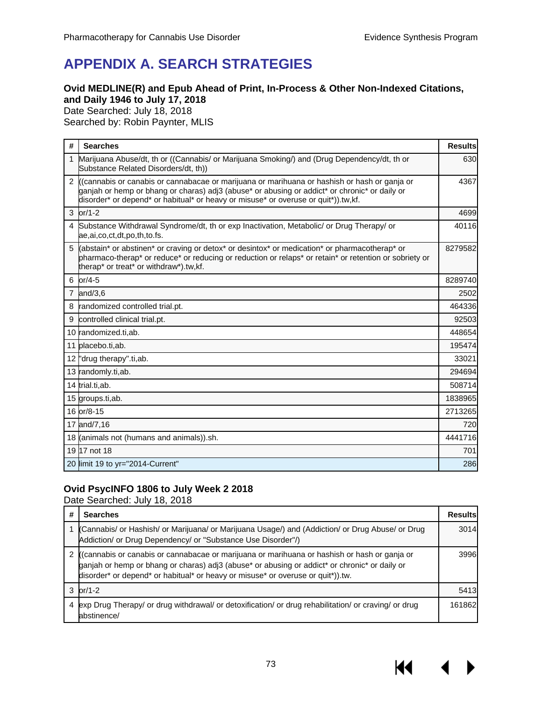## **APPENDIX A. SEARCH STRATEGIES**

### **Ovid MEDLINE(R) and Epub Ahead of Print, In-Process & Other Non-Indexed Citations, and Daily 1946 to July 17, 2018**

Date Searched: July 18, 2018

Searched by: Robin Paynter, MLIS

| #              | <b>Searches</b>                                                                                                                                                                                                                                                                     | <b>Results</b> |
|----------------|-------------------------------------------------------------------------------------------------------------------------------------------------------------------------------------------------------------------------------------------------------------------------------------|----------------|
|                | Marijuana Abuse/dt, th or ((Cannabis/ or Marijuana Smoking/) and (Drug Dependency/dt, th or<br>Substance Related Disorders/dt, th))                                                                                                                                                 | 630            |
| $\mathcal{P}$  | ((cannabis or canabis or cannabacae or marijuana or marihuana or hashish or hash or ganja or<br>ganjah or hemp or bhang or charas) adj3 (abuse* or abusing or addict* or chronic* or daily or<br>disorder* or depend* or habitual* or heavy or misuse* or overuse or quit*)).tw,kf. | 4367           |
| 3              | $or/1-2$                                                                                                                                                                                                                                                                            | 4699           |
| 4              | Substance Withdrawal Syndrome/dt, th or exp Inactivation, Metabolic/ or Drug Therapy/ or<br>ae,ai,co,ct,dt,po,th,to.fs.                                                                                                                                                             | 40116          |
| 5              | (abstain* or abstinen* or craving or detox* or desintox* or medication* or pharmacotherap* or<br>pharmaco-therap* or reduce* or reducing or reduction or relaps* or retain* or retention or sobriety or<br>therap* or treat* or withdraw*).tw,kf.                                   | 8279582        |
| 6              | or/4-5                                                                                                                                                                                                                                                                              | 8289740        |
| $\overline{7}$ | and/3,6                                                                                                                                                                                                                                                                             | 2502           |
| 8              | randomized controlled trial.pt.                                                                                                                                                                                                                                                     | 464336         |
| 9              | controlled clinical trial.pt.                                                                                                                                                                                                                                                       | 92503          |
|                | 10 randomized.ti,ab.                                                                                                                                                                                                                                                                | 448654         |
|                | 11 placebo.ti,ab.                                                                                                                                                                                                                                                                   | 195474         |
|                | 12 "drug therapy".ti, ab.                                                                                                                                                                                                                                                           | 33021          |
|                | 13 randomly.ti,ab.                                                                                                                                                                                                                                                                  | 294694         |
|                | 14 trial.ti,ab.                                                                                                                                                                                                                                                                     | 508714         |
|                | 15 groups.ti, ab.                                                                                                                                                                                                                                                                   | 1838965        |
|                | 16 or/8-15                                                                                                                                                                                                                                                                          | 2713265        |
|                | 17 and/7.16                                                                                                                                                                                                                                                                         | 720            |
|                | 18 (animals not (humans and animals)).sh.                                                                                                                                                                                                                                           | 4441716        |
|                | 19 17 not 18                                                                                                                                                                                                                                                                        | 701            |
|                | 20 limit 19 to yr="2014-Current"                                                                                                                                                                                                                                                    | 286            |

### **Ovid PsycINFO 1806 to July Week 2 2018**

Date Searched: July 18, 2018

| # | <b>Searches</b>                                                                                                                                                                                                                                                                  | <b>Results</b> |
|---|----------------------------------------------------------------------------------------------------------------------------------------------------------------------------------------------------------------------------------------------------------------------------------|----------------|
|   | (Cannabis/ or Hashish/ or Marijuana/ or Marijuana Usage/) and (Addiction/ or Drug Abuse/ or Drug<br>Addiction/ or Drug Dependency/ or "Substance Use Disorder"/)                                                                                                                 | 3014           |
|   | ((cannabis or canabis or cannabacae or marijuana or marihuana or hashish or hash or ganja or<br>ganjah or hemp or bhang or charas) adj3 (abuse* or abusing or addict* or chronic* or daily or<br>disorder* or depend* or habitual* or heavy or misuse* or overuse or quit*)).tw. | 3996           |
|   | $or/1-2$                                                                                                                                                                                                                                                                         | 5413           |
| 4 | exp Drug Therapy/ or drug withdrawal/ or detoxification/ or drug rehabilitation/ or craving/ or drug<br>abstinence/                                                                                                                                                              | 161862         |

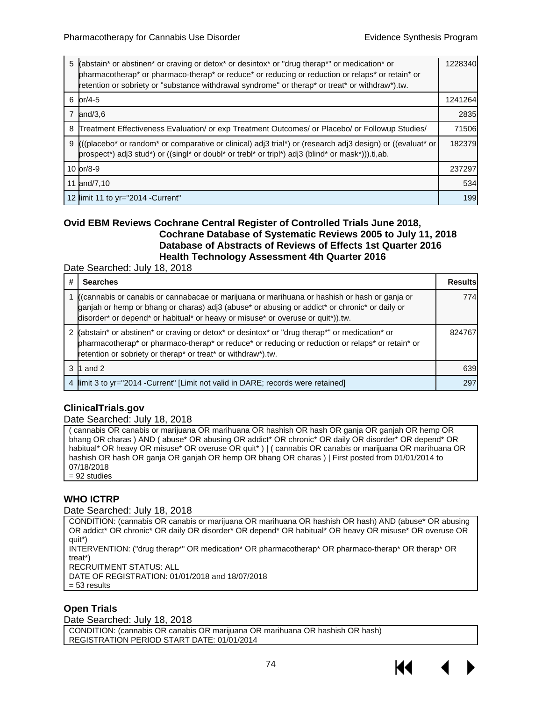| 5 | (abstain* or abstinen* or craving or detox* or desintox* or "drug therap*" or medication* or<br>pharmacotherap* or pharmaco-therap* or reduce* or reducing or reduction or relaps* or retain* or<br>retention or sobriety or "substance withdrawal syndrome" or therap* or treat* or withdraw*).tw. | 1228340 |
|---|-----------------------------------------------------------------------------------------------------------------------------------------------------------------------------------------------------------------------------------------------------------------------------------------------------|---------|
|   | 6 $or/4-5$                                                                                                                                                                                                                                                                                          | 1241264 |
| 7 | and/3.6                                                                                                                                                                                                                                                                                             | 2835    |
| 8 | Treatment Effectiveness Evaluation/ or exp Treatment Outcomes/ or Placebo/ or Followup Studies/                                                                                                                                                                                                     | 71506   |
| 9 | ((placebo* or random* or comparative or clinical) adj3 trial*) or (research adj3 design) or ((evaluat* or<br>prospect*) adj3 stud*) or ((singl* or doubl* or trebl* or tripl*) adj3 (blind* or mask*))).ti,ab.                                                                                      | 182379  |
|   | 10 $\frac{\text{or}}{\text{8-9}}$                                                                                                                                                                                                                                                                   | 237297  |
|   | 11 and/7,10                                                                                                                                                                                                                                                                                         | 534     |
|   | 12 limit 11 to yr="2014 - Current"                                                                                                                                                                                                                                                                  | 199     |

### **Ovid EBM Reviews Cochrane Central Register of Controlled Trials June 2018, Cochrane Database of Systematic Reviews 2005 to July 11, 2018 Database of Abstracts of Reviews of Effects 1st Quarter 2016 Health Technology Assessment 4th Quarter 2016**

Date Searched: July 18, 2018

| # | <b>Searches</b>                                                                                                                                                                                                                                                                                       | <b>Results</b> |
|---|-------------------------------------------------------------------------------------------------------------------------------------------------------------------------------------------------------------------------------------------------------------------------------------------------------|----------------|
|   | ((cannabis or canabis or cannabacae or marijuana or marihuana or hashish or hash or ganja or<br>ganjah or hemp or bhang or charas) adj3 (abuse* or abusing or addict* or chronic* or daily or<br>disorder* or depend* or habitual* or heavy or misuse* or overuse or quit*)).tw.                      | 774            |
|   | (abstain* or abstinen* or craving or detox* or desintox* or "drug therap*" or medication* or<br>pharmacotherap* or pharmaco-therap* or reduce* or reducing or reduction or relaps* or retain* or<br>retention or sobriety or therap <sup>*</sup> or treat <sup>*</sup> or withdraw <sup>*</sup> ).tw. | 824767         |
|   | 1 and 2                                                                                                                                                                                                                                                                                               | 639            |
| 4 | limit 3 to yr="2014 - Current" [Limit not valid in DARE; records were retained]                                                                                                                                                                                                                       | 297            |

## **ClinicalTrials.gov**

#### Date Searched: July 18, 2018

( cannabis OR canabis or marijuana OR marihuana OR hashish OR hash OR ganja OR ganjah OR hemp OR bhang OR charas ) AND ( abuse\* OR abusing OR addict\* OR chronic\* OR daily OR disorder\* OR depend\* OR habitual\* OR heavy OR misuse\* OR overuse OR quit\* ) | ( cannabis OR canabis or marijuana OR marihuana OR hashish OR hash OR ganja OR ganjah OR hemp OR bhang OR charas ) | First posted from 01/01/2014 to 07/18/2018 = 92 studies

### **WHO ICTRP**

#### Date Searched: July 18, 2018

CONDITION: (cannabis OR canabis or marijuana OR marihuana OR hashish OR hash) AND (abuse\* OR abusing OR addict\* OR chronic\* OR daily OR disorder\* OR depend\* OR habitual\* OR heavy OR misuse\* OR overuse OR quit\*) INTERVENTION: ("drug therap\*" OR medication\* OR pharmacotherap\* OR pharmaco-therap\* OR therap\* OR treat\*) RECRUITMENT STATUS: ALL DATE OF REGISTRATION: 01/01/2018 and 18/07/2018 = 53 results

### **Open Trials**

Date Searched: July 18, 2018

CONDITION: (cannabis OR canabis OR marijuana OR marihuana OR hashish OR hash) REGISTRATION PERIOD START DATE: 01/01/2014

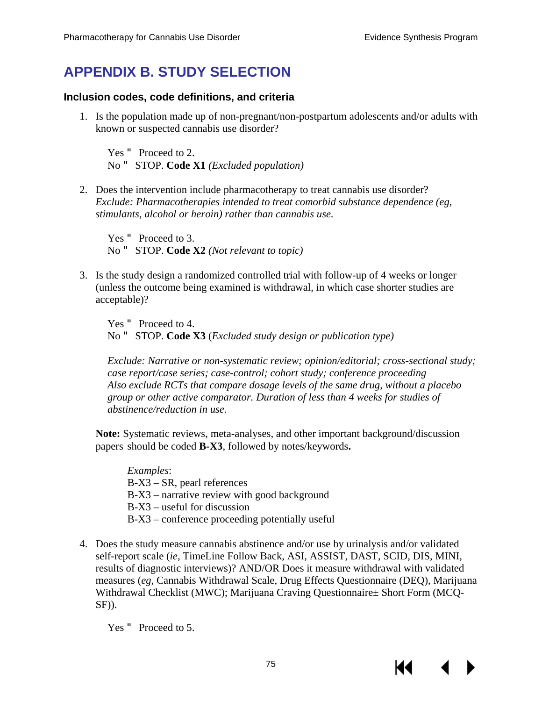# **APPENDIX B. STUDY SELECTION**

## **Inclusion codes, code definitions, and criteria**

1. Is the population made up of non-pregnant/non-postpartum adolescents and/or adults with known or suspected cannabis use disorder?

Yes " Proceed to 2. No " STOP. **Code X1** *(Excluded population)* 

2. Does the intervention include pharmacotherapy to treat cannabis use disorder? *Exclude: Pharmacotherapies intended to treat comorbid substance dependence (eg, stimulants, alcohol or heroin) rather than cannabis use.* 

Yes " Proceed to 3. No " STOP. **Code X2** *(Not relevant to topic)* 

3. Is the study design a randomized controlled trial with follow-up of 4 weeks or longer (unless the outcome being examined is withdrawal, in which case shorter studies are acceptable)?

Yes " Proceed to 4. No " STOP. **Code X3** (*Excluded study design or publication type)* 

*Exclude: Narrative or non-systematic review; opinion/editorial; cross-sectional study; case report/case series; case-control; cohort study; conference proceeding Also exclude RCTs that compare dosage levels of the same drug, without a placebo group or other active comparator. Duration of less than 4 weeks for studies of abstinence/reduction in use.*

**Note:** Systematic reviews, meta-analyses, and other important background/discussion papers should be coded **B-X3**, followed by notes/keywords**.** 

*Examples*: B-X3 – SR, pearl references B-X3 – narrative review with good background B-X3 – useful for discussion B-X3 – conference proceeding potentially useful

4. Does the study measure cannabis abstinence and/or use by urinalysis and/or validated self-report scale (*ie*, TimeLine Follow Back, ASI, ASSIST, DAST, SCID, DIS, MINI, results of diagnostic interviews)? AND/OR Does it measure withdrawal with validated measures (*eg*, Cannabis Withdrawal Scale, Drug Effects Questionnaire (DEQ), Marijuana Withdrawal Checklist (MWC); Marijuana Craving Questionnaire± Short Form (MCQ-SF)).

Yes " Proceed to 5.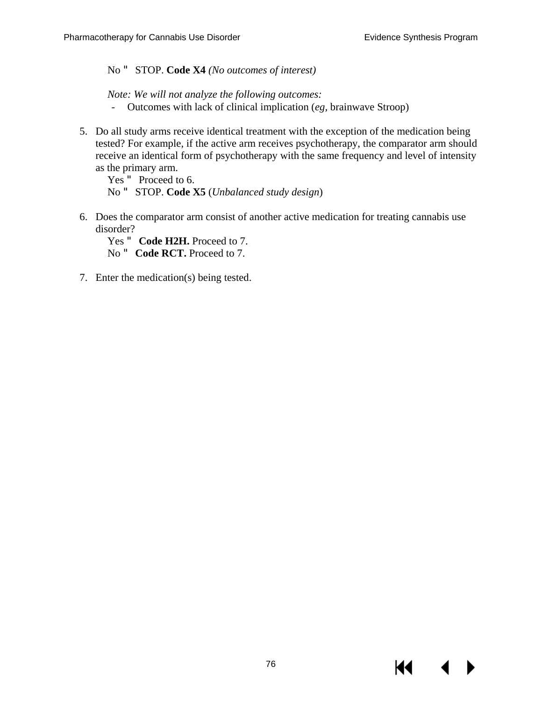No " STOP. **Code X4** *(No outcomes of interest)*

*Note: We will not analyze the following outcomes:* 

- Outcomes with lack of clinical implication (*eg,* brainwave Stroop)
- 5. Do all study arms receive identical treatment with the exception of the medication being tested? For example, if the active arm receives psychotherapy, the comparator arm should receive an identical form of psychotherapy with the same frequency and level of intensity as the primary arm.

Yes " Proceed to 6. No " STOP. **Code X5** (*Unbalanced study design*)

6. Does the comparator arm consist of another active medication for treating cannabis use disorder?

Yes " **Code H2H.** Proceed to 7. No " **Code RCT.** Proceed to 7.

7. Enter the medication(s) being tested.

К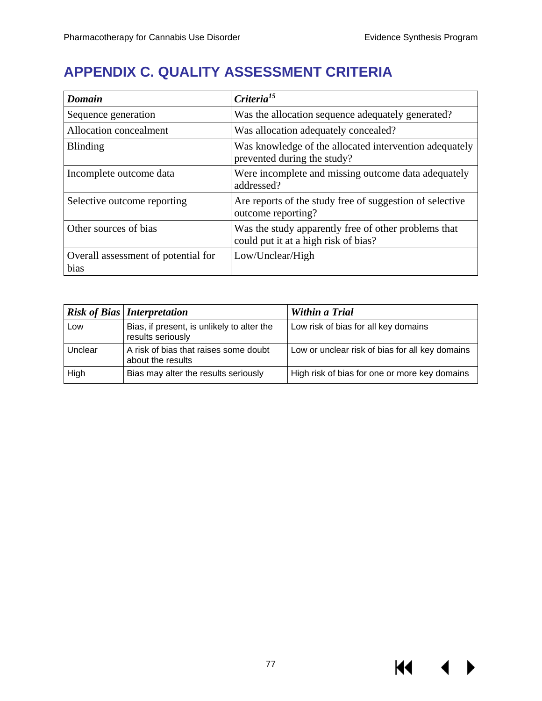# **APPENDIX C. QUALITY ASSESSMENT CRITERIA**

| <b>Domain</b>                               | Criteria <sup>15</sup>                                                                       |  |
|---------------------------------------------|----------------------------------------------------------------------------------------------|--|
| Sequence generation                         | Was the allocation sequence adequately generated?                                            |  |
| Allocation concealment                      | Was allocation adequately concealed?                                                         |  |
| <b>Blinding</b>                             | Was knowledge of the allocated intervention adequately<br>prevented during the study?        |  |
| Incomplete outcome data                     | Were incomplete and missing outcome data adequately<br>addressed?                            |  |
| Selective outcome reporting                 | Are reports of the study free of suggestion of selective<br>outcome reporting?               |  |
| Other sources of bias                       | Was the study apparently free of other problems that<br>could put it at a high risk of bias? |  |
| Overall assessment of potential for<br>bias | Low/Unclear/High                                                                             |  |

|         | <b>Risk of Bias   Interpretation</b>                            | Within a Trial                                  |
|---------|-----------------------------------------------------------------|-------------------------------------------------|
| Low     | Bias, if present, is unlikely to alter the<br>results seriously | Low risk of bias for all key domains            |
| Unclear | A risk of bias that raises some doubt<br>about the results      | Low or unclear risk of bias for all key domains |
| High    | Bias may alter the results seriously                            | High risk of bias for one or more key domains   |

**K4**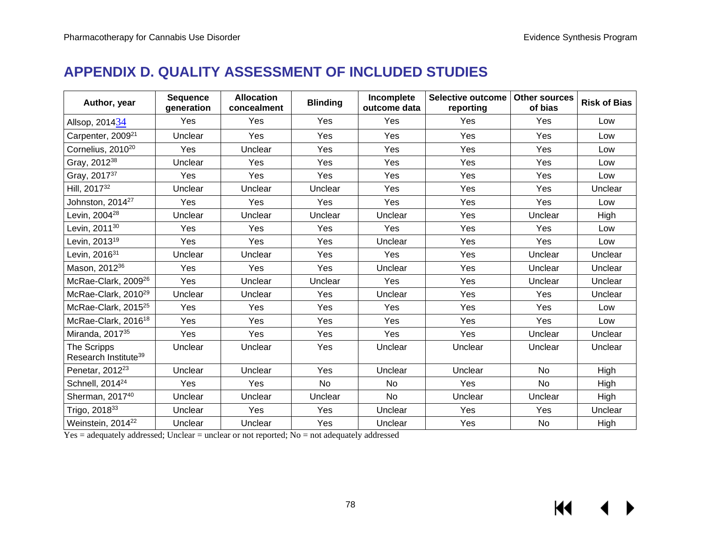# **APPENDIX D. QUALITY ASSESSMENT OF INCLUDED STUDIES**

| Author, year                                    | <b>Sequence</b><br>generation | <b>Allocation</b><br>concealment | <b>Blinding</b> | Incomplete<br>outcome data | <b>Selective outcome</b><br>reporting | <b>Other sources</b><br>of bias | <b>Risk of Bias</b> |
|-------------------------------------------------|-------------------------------|----------------------------------|-----------------|----------------------------|---------------------------------------|---------------------------------|---------------------|
| Allsop, 201434                                  | Yes                           | Yes                              | Yes             | Yes                        | Yes                                   | Yes                             | Low                 |
| Carpenter, 2009 <sup>21</sup>                   | Unclear                       | Yes                              | Yes             | Yes                        | Yes                                   | Yes                             | Low                 |
| Cornelius, 2010 <sup>20</sup>                   | Yes                           | Unclear                          | Yes             | Yes                        | Yes                                   | Yes                             | Low                 |
| Gray, 2012 <sup>38</sup>                        | Unclear                       | Yes                              | Yes             | Yes                        | <b>Yes</b>                            | Yes                             | Low                 |
| Gray, 2017 <sup>37</sup>                        | Yes                           | Yes                              | Yes             | Yes                        | Yes                                   | Yes                             | Low                 |
| Hill, 2017 <sup>32</sup>                        | Unclear                       | Unclear                          | Unclear         | Yes                        | Yes                                   | Yes                             | Unclear             |
| Johnston, 2014 <sup>27</sup>                    | Yes                           | Yes                              | Yes             | Yes                        | Yes                                   | Yes                             | Low                 |
| Levin, 2004 <sup>28</sup>                       | Unclear                       | Unclear                          | Unclear         | Unclear                    | Yes                                   | Unclear                         | High                |
| Levin, 2011 <sup>30</sup>                       | Yes                           | Yes                              | Yes             | Yes                        | Yes                                   | Yes                             | Low                 |
| Levin, 2013 <sup>19</sup>                       | Yes                           | Yes                              | Yes             | Unclear                    | Yes                                   | Yes                             | Low                 |
| Levin, 2016 <sup>31</sup>                       | Unclear                       | Unclear                          | Yes             | Yes                        | Yes                                   | Unclear                         | Unclear             |
| Mason, 2012 <sup>36</sup>                       | Yes                           | Yes                              | Yes             | Unclear                    | Yes                                   | Unclear                         | Unclear             |
| McRae-Clark, 2009 <sup>26</sup>                 | Yes                           | Unclear                          | Unclear         | Yes                        | Yes                                   | Unclear                         | Unclear             |
| McRae-Clark, 2010 <sup>29</sup>                 | Unclear                       | Unclear                          | Yes             | Unclear                    | Yes                                   | Yes                             | Unclear             |
| McRae-Clark, 2015 <sup>25</sup>                 | Yes                           | Yes                              | Yes             | Yes                        | Yes                                   | Yes                             | Low                 |
| McRae-Clark, 2016 <sup>18</sup>                 | Yes                           | Yes                              | Yes             | Yes                        | Yes                                   | Yes                             | Low                 |
| Miranda, 2017 <sup>35</sup>                     | Yes                           | Yes                              | Yes             | Yes                        | Yes                                   | Unclear                         | Unclear             |
| The Scripps<br>Research Institute <sup>39</sup> | Unclear                       | Unclear                          | Yes             | Unclear                    | Unclear                               | Unclear                         | Unclear             |
| Penetar, 2012 <sup>23</sup>                     | Unclear                       | Unclear                          | Yes             | Unclear                    | Unclear                               | <b>No</b>                       | High                |
| Schnell, 2014 <sup>24</sup>                     | Yes                           | Yes                              | <b>No</b>       | <b>No</b>                  | Yes                                   | <b>No</b>                       | High                |
| Sherman, 2017 <sup>40</sup>                     | Unclear                       | Unclear                          | Unclear         | No                         | Unclear                               | Unclear                         | High                |
| Trigo, 201833                                   | Unclear                       | Yes                              | Yes             | Unclear                    | Yes                                   | Yes                             | Unclear             |
| Weinstein, 2014 <sup>22</sup>                   | Unclear                       | Unclear                          | Yes             | Unclear                    | Yes                                   | No                              | High                |

Yes = adequately addressed; Unclear = unclear or not reported; No = not adequately addressed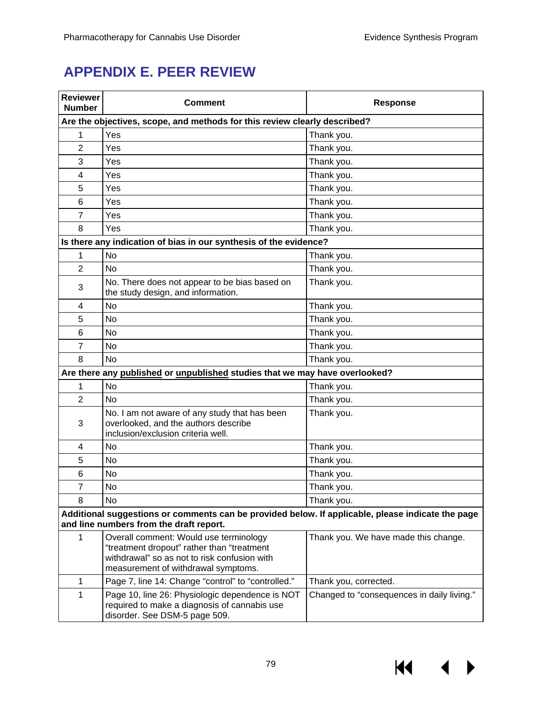# **APPENDIX E. PEER REVIEW**

| <b>Reviewer</b><br><b>Number</b>                                                                                                             | <b>Comment</b>                                                                                                                                                              | <b>Response</b>                            |  |  |  |
|----------------------------------------------------------------------------------------------------------------------------------------------|-----------------------------------------------------------------------------------------------------------------------------------------------------------------------------|--------------------------------------------|--|--|--|
|                                                                                                                                              | Are the objectives, scope, and methods for this review clearly described?                                                                                                   |                                            |  |  |  |
| 1                                                                                                                                            | Yes                                                                                                                                                                         | Thank you.                                 |  |  |  |
| 2                                                                                                                                            | Yes                                                                                                                                                                         | Thank you.                                 |  |  |  |
| 3                                                                                                                                            | Yes                                                                                                                                                                         | Thank you.                                 |  |  |  |
| 4                                                                                                                                            | Yes                                                                                                                                                                         | Thank you.                                 |  |  |  |
| 5                                                                                                                                            | Yes                                                                                                                                                                         | Thank you.                                 |  |  |  |
| 6                                                                                                                                            | Yes                                                                                                                                                                         | Thank you.                                 |  |  |  |
| $\overline{7}$                                                                                                                               | Yes                                                                                                                                                                         | Thank you.                                 |  |  |  |
| 8                                                                                                                                            | Yes                                                                                                                                                                         | Thank you.                                 |  |  |  |
|                                                                                                                                              | Is there any indication of bias in our synthesis of the evidence?                                                                                                           |                                            |  |  |  |
| 1                                                                                                                                            | No                                                                                                                                                                          | Thank you.                                 |  |  |  |
| $\overline{2}$                                                                                                                               | <b>No</b>                                                                                                                                                                   | Thank you.                                 |  |  |  |
| 3                                                                                                                                            | No. There does not appear to be bias based on<br>the study design, and information.                                                                                         | Thank you.                                 |  |  |  |
| 4                                                                                                                                            | <b>No</b>                                                                                                                                                                   | Thank you.                                 |  |  |  |
| 5                                                                                                                                            | No                                                                                                                                                                          | Thank you.                                 |  |  |  |
| 6                                                                                                                                            | No                                                                                                                                                                          | Thank you.                                 |  |  |  |
| 7                                                                                                                                            | <b>No</b>                                                                                                                                                                   | Thank you.                                 |  |  |  |
| 8                                                                                                                                            | <b>No</b>                                                                                                                                                                   | Thank you.                                 |  |  |  |
|                                                                                                                                              | Are there any published or unpublished studies that we may have overlooked?                                                                                                 |                                            |  |  |  |
| 1                                                                                                                                            | No                                                                                                                                                                          | Thank you.                                 |  |  |  |
| $\overline{2}$                                                                                                                               | No                                                                                                                                                                          | Thank you.                                 |  |  |  |
| 3                                                                                                                                            | No. I am not aware of any study that has been<br>overlooked, and the authors describe<br>inclusion/exclusion criteria well.                                                 | Thank you.                                 |  |  |  |
| 4                                                                                                                                            | No                                                                                                                                                                          | Thank you.                                 |  |  |  |
| 5                                                                                                                                            | No                                                                                                                                                                          | Thank you.                                 |  |  |  |
| 6                                                                                                                                            | No                                                                                                                                                                          | Thank you.                                 |  |  |  |
| $\overline{7}$                                                                                                                               | No                                                                                                                                                                          | Thank you.                                 |  |  |  |
| 8                                                                                                                                            | No                                                                                                                                                                          | Thank you.                                 |  |  |  |
| Additional suggestions or comments can be provided below. If applicable, please indicate the page<br>and line numbers from the draft report. |                                                                                                                                                                             |                                            |  |  |  |
| 1                                                                                                                                            | Overall comment: Would use terminology<br>"treatment dropout" rather than "treatment<br>withdrawal" so as not to risk confusion with<br>measurement of withdrawal symptoms. | Thank you. We have made this change.       |  |  |  |
| 1                                                                                                                                            | Page 7, line 14: Change "control" to "controlled."                                                                                                                          | Thank you, corrected.                      |  |  |  |
| $\mathbf{1}$                                                                                                                                 | Page 10, line 26: Physiologic dependence is NOT<br>required to make a diagnosis of cannabis use<br>disorder. See DSM-5 page 509.                                            | Changed to "consequences in daily living." |  |  |  |

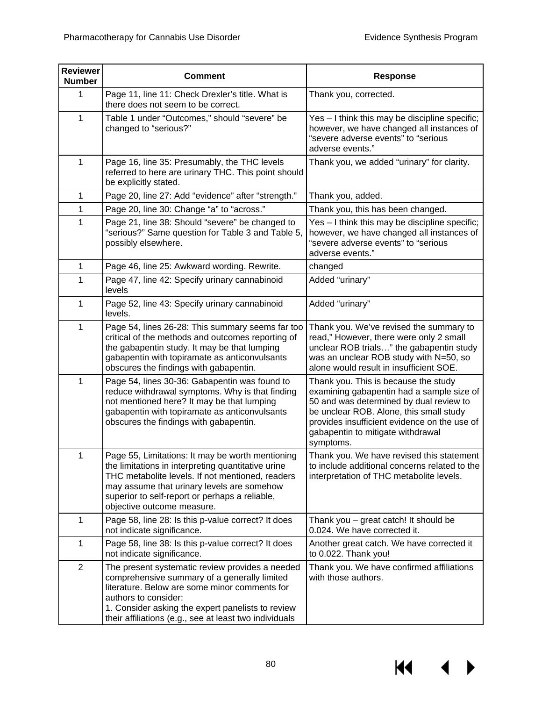| <b>Reviewer</b><br><b>Number</b> | <b>Comment</b>                                                                                                                                                                                                                                                                           | <b>Response</b>                                                                                                                                                                                                                                                           |  |
|----------------------------------|------------------------------------------------------------------------------------------------------------------------------------------------------------------------------------------------------------------------------------------------------------------------------------------|---------------------------------------------------------------------------------------------------------------------------------------------------------------------------------------------------------------------------------------------------------------------------|--|
| 1                                | Page 11, line 11: Check Drexler's title. What is<br>there does not seem to be correct.                                                                                                                                                                                                   | Thank you, corrected.                                                                                                                                                                                                                                                     |  |
| $\mathbf{1}$                     | Table 1 under "Outcomes," should "severe" be<br>changed to "serious?"                                                                                                                                                                                                                    | Yes - I think this may be discipline specific;<br>however, we have changed all instances of<br>"severe adverse events" to "serious<br>adverse events."                                                                                                                    |  |
| $\mathbf{1}$                     | Page 16, line 35: Presumably, the THC levels<br>referred to here are urinary THC. This point should<br>be explicitly stated.                                                                                                                                                             | Thank you, we added "urinary" for clarity.                                                                                                                                                                                                                                |  |
| $\mathbf{1}$                     | Page 20, line 27: Add "evidence" after "strength."                                                                                                                                                                                                                                       | Thank you, added.                                                                                                                                                                                                                                                         |  |
| 1                                | Page 20, line 30: Change "a" to "across."                                                                                                                                                                                                                                                | Thank you, this has been changed.                                                                                                                                                                                                                                         |  |
| 1                                | Page 21, line 38: Should "severe" be changed to<br>"serious?" Same question for Table 3 and Table 5,<br>possibly elsewhere.                                                                                                                                                              | Yes - I think this may be discipline specific;<br>however, we have changed all instances of<br>"severe adverse events" to "serious<br>adverse events."                                                                                                                    |  |
| $\mathbf{1}$                     | Page 46, line 25: Awkward wording. Rewrite.                                                                                                                                                                                                                                              | changed                                                                                                                                                                                                                                                                   |  |
| 1                                | Page 47, line 42: Specify urinary cannabinoid<br>levels                                                                                                                                                                                                                                  | Added "urinary"                                                                                                                                                                                                                                                           |  |
| $\mathbf{1}$                     | Page 52, line 43: Specify urinary cannabinoid<br>levels.                                                                                                                                                                                                                                 | Added "urinary"                                                                                                                                                                                                                                                           |  |
| $\mathbf{1}$                     | Page 54, lines 26-28: This summary seems far too<br>critical of the methods and outcomes reporting of<br>the gabapentin study. It may be that lumping<br>gabapentin with topiramate as anticonvulsants<br>obscures the findings with gabapentin.                                         | Thank you. We've revised the summary to<br>read," However, there were only 2 small<br>unclear ROB trials" the gabapentin study<br>was an unclear ROB study with N=50, so<br>alone would result in insufficient SOE.                                                       |  |
| $\mathbf{1}$                     | Page 54, lines 30-36: Gabapentin was found to<br>reduce withdrawal symptoms. Why is that finding<br>not mentioned here? It may be that lumping<br>gabapentin with topiramate as anticonvulsants<br>obscures the findings with gabapentin.                                                | Thank you. This is because the study<br>examining gabapentin had a sample size of<br>50 and was determined by dual review to<br>be unclear ROB. Alone, this small study<br>provides insufficient evidence on the use of<br>gabapentin to mitigate withdrawal<br>symptoms. |  |
| $\mathbf{1}$                     | Page 55, Limitations: It may be worth mentioning<br>the limitations in interpreting quantitative urine<br>THC metabolite levels. If not mentioned, readers<br>may assume that urinary levels are somehow<br>superior to self-report or perhaps a reliable,<br>objective outcome measure. | Thank you. We have revised this statement<br>to include additional concerns related to the<br>interpretation of THC metabolite levels.                                                                                                                                    |  |
| $\mathbf{1}$                     | Page 58, line 28: Is this p-value correct? It does<br>not indicate significance.                                                                                                                                                                                                         | Thank you - great catch! It should be<br>0.024. We have corrected it.                                                                                                                                                                                                     |  |
| $\mathbf{1}$                     | Page 58, line 38: Is this p-value correct? It does<br>not indicate significance.                                                                                                                                                                                                         | Another great catch. We have corrected it<br>to 0.022. Thank you!                                                                                                                                                                                                         |  |
| $\overline{2}$                   | The present systematic review provides a needed<br>comprehensive summary of a generally limited<br>literature. Below are some minor comments for<br>authors to consider:<br>1. Consider asking the expert panelists to review<br>their affiliations (e.g., see at least two individuals  | Thank you. We have confirmed affiliations<br>with those authors.                                                                                                                                                                                                          |  |

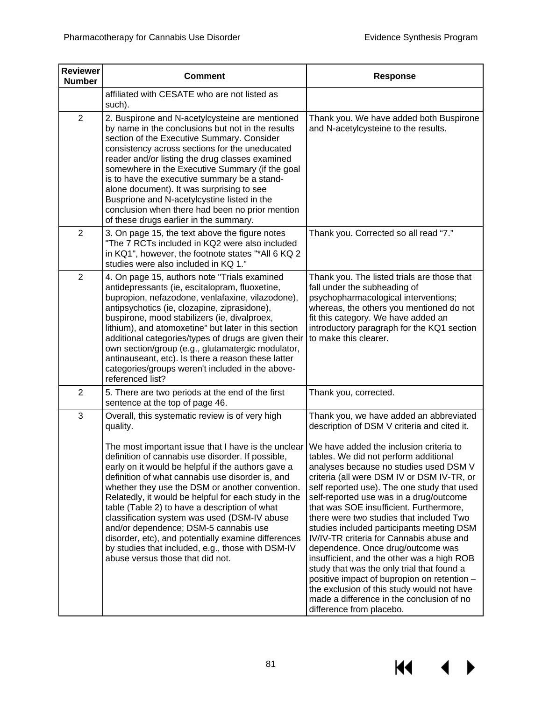$M \rightarrow$ 

| <b>Reviewer</b><br><b>Number</b> | <b>Comment</b>                                                                                                                                                                                                                                                                                                                                                                                                                                                                                                                                                                                                                                                                         | <b>Response</b>                                                                                                                                                                                                                                                                                                                                                                                                                                                                                                                                                                                                                                                                                                                                                                                                                                     |
|----------------------------------|----------------------------------------------------------------------------------------------------------------------------------------------------------------------------------------------------------------------------------------------------------------------------------------------------------------------------------------------------------------------------------------------------------------------------------------------------------------------------------------------------------------------------------------------------------------------------------------------------------------------------------------------------------------------------------------|-----------------------------------------------------------------------------------------------------------------------------------------------------------------------------------------------------------------------------------------------------------------------------------------------------------------------------------------------------------------------------------------------------------------------------------------------------------------------------------------------------------------------------------------------------------------------------------------------------------------------------------------------------------------------------------------------------------------------------------------------------------------------------------------------------------------------------------------------------|
|                                  | affiliated with CESATE who are not listed as<br>such).                                                                                                                                                                                                                                                                                                                                                                                                                                                                                                                                                                                                                                 |                                                                                                                                                                                                                                                                                                                                                                                                                                                                                                                                                                                                                                                                                                                                                                                                                                                     |
| $\overline{2}$                   | 2. Buspirone and N-acetylcysteine are mentioned<br>by name in the conclusions but not in the results<br>section of the Executive Summary. Consider<br>consistency across sections for the uneducated<br>reader and/or listing the drug classes examined<br>somewhere in the Executive Summary (if the goal<br>is to have the executive summary be a stand-<br>alone document). It was surprising to see<br>Busprione and N-acetylcystine listed in the<br>conclusion when there had been no prior mention<br>of these drugs earlier in the summary.                                                                                                                                    | Thank you. We have added both Buspirone<br>and N-acetylcysteine to the results.                                                                                                                                                                                                                                                                                                                                                                                                                                                                                                                                                                                                                                                                                                                                                                     |
| $\overline{2}$                   | 3. On page 15, the text above the figure notes<br>"The 7 RCTs included in KQ2 were also included<br>in KQ1", however, the footnote states "*All 6 KQ 2<br>studies were also included in KQ 1."                                                                                                                                                                                                                                                                                                                                                                                                                                                                                         | Thank you. Corrected so all read "7."                                                                                                                                                                                                                                                                                                                                                                                                                                                                                                                                                                                                                                                                                                                                                                                                               |
| $\overline{2}$                   | 4. On page 15, authors note "Trials examined<br>antidepressants (ie, escitalopram, fluoxetine,<br>bupropion, nefazodone, venlafaxine, vilazodone),<br>antipsychotics (ie, clozapine, ziprasidone),<br>buspirone, mood stabilizers (ie, divalproex,<br>lithium), and atomoxetine" but later in this section<br>additional categories/types of drugs are given their<br>own section/group (e.g., glutamatergic modulator,<br>antinauseant, etc). Is there a reason these latter<br>categories/groups weren't included in the above-<br>referenced list?                                                                                                                                  | Thank you. The listed trials are those that<br>fall under the subheading of<br>psychopharmacological interventions;<br>whereas, the others you mentioned do not<br>fit this category. We have added an<br>introductory paragraph for the KQ1 section<br>to make this clearer.                                                                                                                                                                                                                                                                                                                                                                                                                                                                                                                                                                       |
| $\overline{2}$                   | 5. There are two periods at the end of the first<br>sentence at the top of page 46.                                                                                                                                                                                                                                                                                                                                                                                                                                                                                                                                                                                                    | Thank you, corrected.                                                                                                                                                                                                                                                                                                                                                                                                                                                                                                                                                                                                                                                                                                                                                                                                                               |
| 3                                | Overall, this systematic review is of very high<br>quality.<br>The most important issue that I have is the unclear<br>definition of cannabis use disorder. If possible,<br>early on it would be helpful if the authors gave a<br>definition of what cannabis use disorder is, and<br>whether they use the DSM or another convention.<br>Relatedly, it would be helpful for each study in the<br>table (Table 2) to have a description of what<br>classification system was used (DSM-IV abuse<br>and/or dependence; DSM-5 cannabis use<br>disorder, etc), and potentially examine differences<br>by studies that included, e.g., those with DSM-IV<br>abuse versus those that did not. | Thank you, we have added an abbreviated<br>description of DSM V criteria and cited it.<br>We have added the inclusion criteria to<br>tables. We did not perform additional<br>analyses because no studies used DSM V<br>criteria (all were DSM IV or DSM IV-TR, or<br>self reported use). The one study that used<br>self-reported use was in a drug/outcome<br>that was SOE insufficient. Furthermore,<br>there were two studies that included Two<br>studies included participants meeting DSM<br>IV/IV-TR criteria for Cannabis abuse and<br>dependence. Once drug/outcome was<br>insufficient, and the other was a high ROB<br>study that was the only trial that found a<br>positive impact of bupropion on retention -<br>the exclusion of this study would not have<br>made a difference in the conclusion of no<br>difference from placebo. |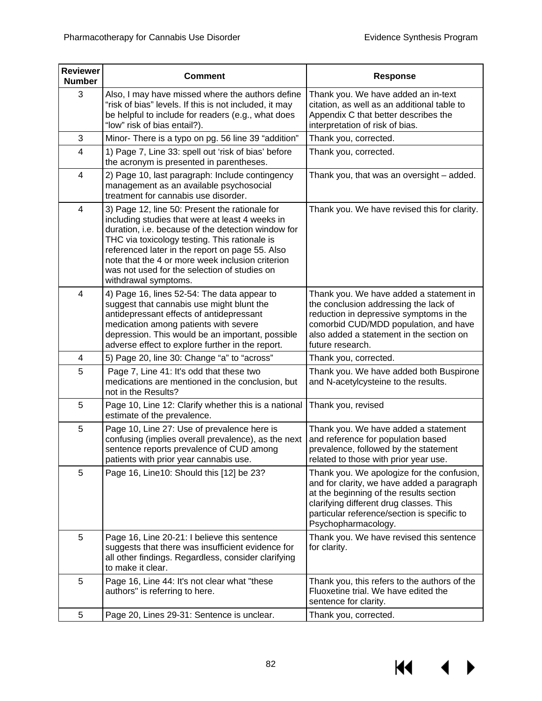| <b>Reviewer</b><br><b>Number</b> | <b>Comment</b>                                                                                                                                                                                                                                                                                                                                                                          | <b>Response</b>                                                                                                                                                                                                                                      |  |
|----------------------------------|-----------------------------------------------------------------------------------------------------------------------------------------------------------------------------------------------------------------------------------------------------------------------------------------------------------------------------------------------------------------------------------------|------------------------------------------------------------------------------------------------------------------------------------------------------------------------------------------------------------------------------------------------------|--|
| 3                                | Also, I may have missed where the authors define<br>"risk of bias" levels. If this is not included, it may<br>be helpful to include for readers (e.g., what does<br>"low" risk of bias entail?).                                                                                                                                                                                        | Thank you. We have added an in-text<br>citation, as well as an additional table to<br>Appendix C that better describes the<br>interpretation of risk of bias.                                                                                        |  |
| 3                                | Minor- There is a typo on pg. 56 line 39 "addition"                                                                                                                                                                                                                                                                                                                                     | Thank you, corrected.                                                                                                                                                                                                                                |  |
| $\overline{\mathbf{4}}$          | 1) Page 7, Line 33: spell out 'risk of bias' before<br>the acronym is presented in parentheses.                                                                                                                                                                                                                                                                                         | Thank you, corrected.                                                                                                                                                                                                                                |  |
| 4                                | 2) Page 10, last paragraph: Include contingency<br>management as an available psychosocial<br>treatment for cannabis use disorder.                                                                                                                                                                                                                                                      | Thank you, that was an oversight - added.                                                                                                                                                                                                            |  |
| 4                                | 3) Page 12, line 50: Present the rationale for<br>including studies that were at least 4 weeks in<br>duration, i.e. because of the detection window for<br>THC via toxicology testing. This rationale is<br>referenced later in the report on page 55. Also<br>note that the 4 or more week inclusion criterion<br>was not used for the selection of studies on<br>withdrawal symptoms. | Thank you. We have revised this for clarity.                                                                                                                                                                                                         |  |
| 4                                | 4) Page 16, lines 52-54: The data appear to<br>suggest that cannabis use might blunt the<br>antidepressant effects of antidepressant<br>medication among patients with severe<br>depression. This would be an important, possible<br>adverse effect to explore further in the report.                                                                                                   | Thank you. We have added a statement in<br>the conclusion addressing the lack of<br>reduction in depressive symptoms in the<br>comorbid CUD/MDD population, and have<br>also added a statement in the section on<br>future research.                 |  |
| 4                                | 5) Page 20, line 30: Change "a" to "across"                                                                                                                                                                                                                                                                                                                                             | Thank you, corrected.                                                                                                                                                                                                                                |  |
| 5                                | Page 7, Line 41: It's odd that these two<br>medications are mentioned in the conclusion, but<br>not in the Results?                                                                                                                                                                                                                                                                     | Thank you. We have added both Buspirone<br>and N-acetylcysteine to the results.                                                                                                                                                                      |  |
| 5                                | Page 10, Line 12: Clarify whether this is a national<br>estimate of the prevalence.                                                                                                                                                                                                                                                                                                     | Thank you, revised                                                                                                                                                                                                                                   |  |
| 5                                | Page 10, Line 27: Use of prevalence here is<br>confusing (implies overall prevalence), as the next<br>sentence reports prevalence of CUD among<br>patients with prior year cannabis use.                                                                                                                                                                                                | Thank you. We have added a statement<br>and reference for population based<br>prevalence, followed by the statement<br>related to those with prior year use.                                                                                         |  |
| 5                                | Page 16, Line10: Should this [12] be 23?                                                                                                                                                                                                                                                                                                                                                | Thank you. We apologize for the confusion,<br>and for clarity, we have added a paragraph<br>at the beginning of the results section<br>clarifying different drug classes. This<br>particular reference/section is specific to<br>Psychopharmacology. |  |
| 5                                | Page 16, Line 20-21: I believe this sentence<br>suggests that there was insufficient evidence for<br>all other findings. Regardless, consider clarifying<br>to make it clear.                                                                                                                                                                                                           | Thank you. We have revised this sentence<br>for clarity.                                                                                                                                                                                             |  |
| 5                                | Page 16, Line 44: It's not clear what "these<br>authors" is referring to here.                                                                                                                                                                                                                                                                                                          | Thank you, this refers to the authors of the<br>Fluoxetine trial. We have edited the<br>sentence for clarity.                                                                                                                                        |  |
| 5                                | Page 20, Lines 29-31: Sentence is unclear.                                                                                                                                                                                                                                                                                                                                              | Thank you, corrected.                                                                                                                                                                                                                                |  |

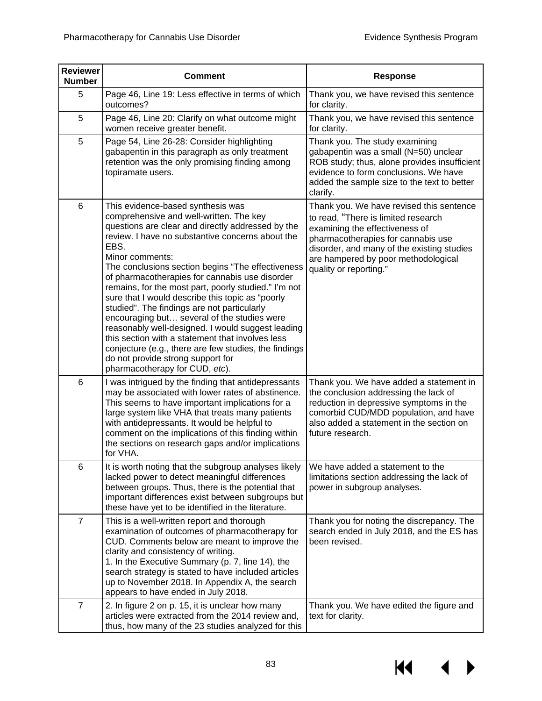| <b>Reviewer</b><br><b>Number</b> | <b>Comment</b>                                                                                                                                                                                                                                                                                                                                                                                                                                                                                                                                                                                                                                                                                                                                                             | <b>Response</b>                                                                                                                                                                                                                                                        |
|----------------------------------|----------------------------------------------------------------------------------------------------------------------------------------------------------------------------------------------------------------------------------------------------------------------------------------------------------------------------------------------------------------------------------------------------------------------------------------------------------------------------------------------------------------------------------------------------------------------------------------------------------------------------------------------------------------------------------------------------------------------------------------------------------------------------|------------------------------------------------------------------------------------------------------------------------------------------------------------------------------------------------------------------------------------------------------------------------|
| 5                                | Page 46, Line 19: Less effective in terms of which<br>outcomes?                                                                                                                                                                                                                                                                                                                                                                                                                                                                                                                                                                                                                                                                                                            | Thank you, we have revised this sentence<br>for clarity.                                                                                                                                                                                                               |
| 5                                | Page 46, Line 20: Clarify on what outcome might<br>women receive greater benefit.                                                                                                                                                                                                                                                                                                                                                                                                                                                                                                                                                                                                                                                                                          | Thank you, we have revised this sentence<br>for clarity.                                                                                                                                                                                                               |
| 5                                | Page 54, Line 26-28: Consider highlighting<br>gabapentin in this paragraph as only treatment<br>retention was the only promising finding among<br>topiramate users.                                                                                                                                                                                                                                                                                                                                                                                                                                                                                                                                                                                                        | Thank you. The study examining<br>gabapentin was a small (N=50) unclear<br>ROB study; thus, alone provides insufficient<br>evidence to form conclusions. We have<br>added the sample size to the text to better<br>clarify.                                            |
| 6                                | This evidence-based synthesis was<br>comprehensive and well-written. The key<br>questions are clear and directly addressed by the<br>review. I have no substantive concerns about the<br>EBS.<br>Minor comments:<br>The conclusions section begins "The effectiveness<br>of pharmacotherapies for cannabis use disorder<br>remains, for the most part, poorly studied." I'm not<br>sure that I would describe this topic as "poorly<br>studied". The findings are not particularly<br>encouraging but several of the studies were<br>reasonably well-designed. I would suggest leading<br>this section with a statement that involves less<br>conjecture (e.g., there are few studies, the findings<br>do not provide strong support for<br>pharmacotherapy for CUD, etc). | Thank you. We have revised this sentence<br>to read, "There is limited research<br>examining the effectiveness of<br>pharmacotherapies for cannabis use<br>disorder, and many of the existing studies<br>are hampered by poor methodological<br>quality or reporting." |
| 6                                | I was intrigued by the finding that antidepressants<br>may be associated with lower rates of abstinence.<br>This seems to have important implications for a<br>large system like VHA that treats many patients<br>with antidepressants. It would be helpful to<br>comment on the implications of this finding within<br>the sections on research gaps and/or implications<br>for VHA.                                                                                                                                                                                                                                                                                                                                                                                      | Thank you. We have added a statement in<br>the conclusion addressing the lack of<br>reduction in depressive symptoms in the<br>comorbid CUD/MDD population, and have<br>also added a statement in the section on<br>future research.                                   |
| 6                                | It is worth noting that the subgroup analyses likely<br>lacked power to detect meaningful differences<br>between groups. Thus, there is the potential that<br>important differences exist between subgroups but<br>these have yet to be identified in the literature.                                                                                                                                                                                                                                                                                                                                                                                                                                                                                                      | We have added a statement to the<br>limitations section addressing the lack of<br>power in subgroup analyses.                                                                                                                                                          |
| $\overline{7}$                   | This is a well-written report and thorough<br>examination of outcomes of pharmacotherapy for<br>CUD. Comments below are meant to improve the<br>clarity and consistency of writing.<br>1. In the Executive Summary (p. 7, line 14), the<br>search strategy is stated to have included articles<br>up to November 2018. In Appendix A, the search<br>appears to have ended in July 2018.                                                                                                                                                                                                                                                                                                                                                                                    | Thank you for noting the discrepancy. The<br>search ended in July 2018, and the ES has<br>been revised.                                                                                                                                                                |
| $\overline{7}$                   | 2. In figure 2 on p. 15, it is unclear how many<br>articles were extracted from the 2014 review and,<br>thus, how many of the 23 studies analyzed for this                                                                                                                                                                                                                                                                                                                                                                                                                                                                                                                                                                                                                 | Thank you. We have edited the figure and<br>text for clarity.                                                                                                                                                                                                          |